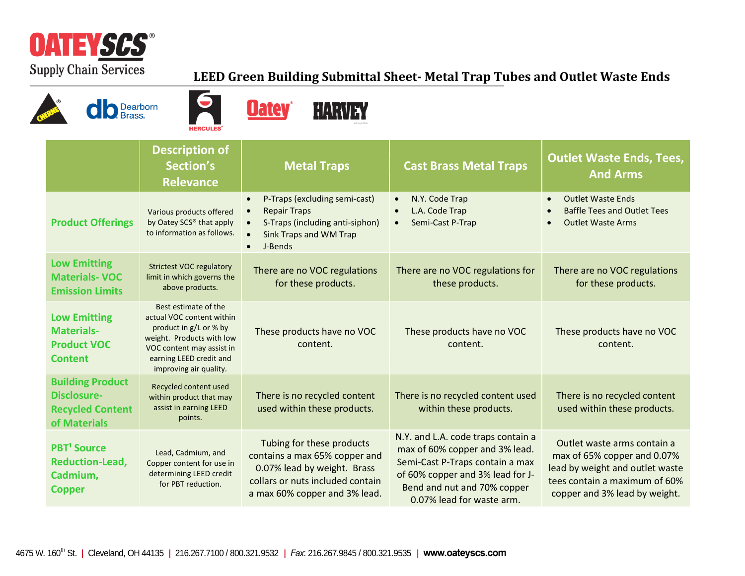

## **LEED Green Building Submittal Sheet- Metal Trap Tubes and Outlet Waste Ends**







|                                                                                          | <b>Description of</b><br>Section's<br><b>Relevance</b>                                                                                                                                     | <b>Metal Traps</b>                                                                                                                                             | <b>Cast Brass Metal Traps</b>                                                                                                                                                                           | <b>Outlet Waste Ends, Tees,</b><br><b>And Arms</b>                                                                                                              |
|------------------------------------------------------------------------------------------|--------------------------------------------------------------------------------------------------------------------------------------------------------------------------------------------|----------------------------------------------------------------------------------------------------------------------------------------------------------------|---------------------------------------------------------------------------------------------------------------------------------------------------------------------------------------------------------|-----------------------------------------------------------------------------------------------------------------------------------------------------------------|
| <b>Product Offerings</b>                                                                 | Various products offered<br>by Oatey SCS® that apply<br>to information as follows.                                                                                                         | P-Traps (excluding semi-cast)<br>$\bullet$<br><b>Repair Traps</b><br>S-Traps (including anti-siphon)<br>Sink Traps and WM Trap<br>J-Bends<br>$\bullet$         | N.Y. Code Trap<br>L.A. Code Trap<br>Semi-Cast P-Trap                                                                                                                                                    | <b>Outlet Waste Ends</b><br>$\bullet$<br><b>Baffle Tees and Outlet Tees</b><br>$\bullet$<br><b>Outlet Waste Arms</b><br>$\bullet$                               |
| <b>Low Emitting</b><br><b>Materials-VOC</b><br><b>Emission Limits</b>                    | <b>Strictest VOC regulatory</b><br>limit in which governs the<br>above products.                                                                                                           | There are no VOC regulations<br>for these products.                                                                                                            | There are no VOC regulations for<br>these products.                                                                                                                                                     | There are no VOC regulations<br>for these products.                                                                                                             |
| <b>Low Emitting</b><br><b>Materials-</b><br><b>Product VOC</b><br><b>Content</b>         | Best estimate of the<br>actual VOC content within<br>product in g/L or % by<br>weight. Products with low<br>VOC content may assist in<br>earning LEED credit and<br>improving air quality. | These products have no VOC<br>content.                                                                                                                         | These products have no VOC<br>content.                                                                                                                                                                  | These products have no VOC<br>content.                                                                                                                          |
| <b>Building Product</b><br><b>Disclosure-</b><br><b>Recycled Content</b><br>of Materials | Recycled content used<br>within product that may<br>assist in earning LEED<br>points.                                                                                                      | There is no recycled content<br>used within these products.                                                                                                    | There is no recycled content used<br>within these products.                                                                                                                                             | There is no recycled content<br>used within these products.                                                                                                     |
| <b>PBT<sup>1</sup></b> Source<br><b>Reduction-Lead,</b><br>Cadmium,<br><b>Copper</b>     | Lead, Cadmium, and<br>Copper content for use in<br>determining LEED credit<br>for PBT reduction.                                                                                           | Tubing for these products<br>contains a max 65% copper and<br>0.07% lead by weight. Brass<br>collars or nuts included contain<br>a max 60% copper and 3% lead. | N.Y. and L.A. code traps contain a<br>max of 60% copper and 3% lead.<br>Semi-Cast P-Traps contain a max<br>of 60% copper and 3% lead for J-<br>Bend and nut and 70% copper<br>0.07% lead for waste arm. | Outlet waste arms contain a<br>max of 65% copper and 0.07%<br>lead by weight and outlet waste<br>tees contain a maximum of 60%<br>copper and 3% lead by weight. |